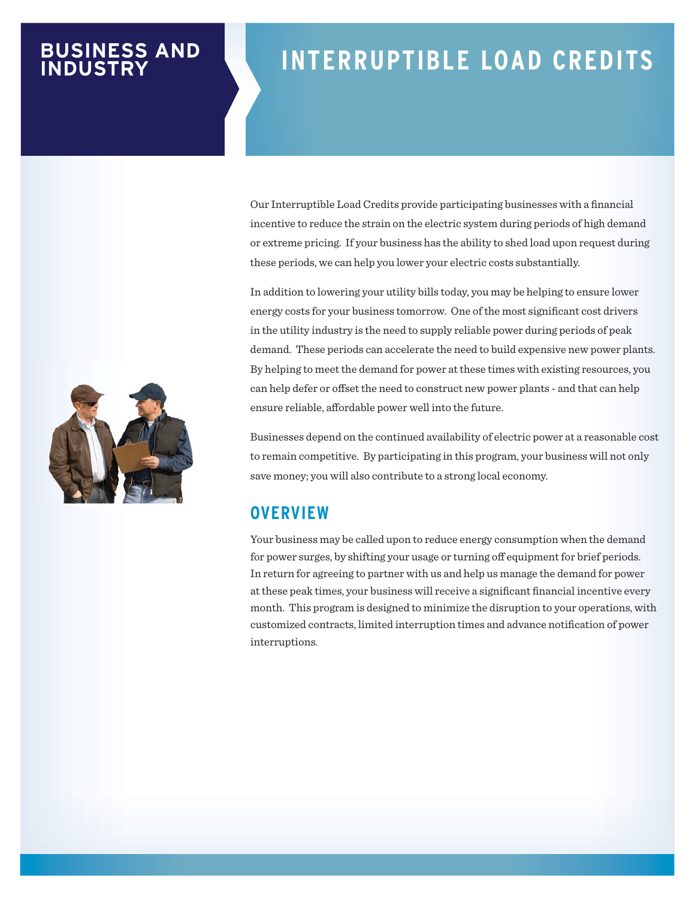#### **BUSINESS AND INDUSTRY**

# **INTERRUPTIBLE LOAD CREDITS**

Our Interruptible Load Credits provide participating businesses with a financial incentive to reduce the strain on the electric system during periods of high demand or extreme pricing. If your business has the ability to shed load upon request during these periods, we can help you lower your electric costs substantially.

In addition to lowering your utility bills today, you may be helping to ensure lower energy costs for your business tomorrow. One of the most significant cost drivers in the utility industry is the need to supply reliable power during periods of peak demand. These periods can accelerate the need to build expensive new power plants. By helping to meet the demand for power at these times with existing resources, you can help defer or offset the need to construct new power plants - and that can help ensure reliable, affordable power well into the future.

Businesses depend on the continued availability of electric power at a reasonable cost to remain competitive. By participating in this program, your business will not only save money; you will also contribute to a strong local economy.

#### **OVERVIEW**

Your business may be called upon to reduce energy consumption when the demand for power surges, by shifting your usage or turning off equipment for brief periods. In return for agreeing to partner with us and help us manage the demand for power at these peak times, your business will receive a significant financial incentive every month. This program is designed to minimize the disruption to your operations, with customized contracts, limited interruption times and advance notification of power interruptions.